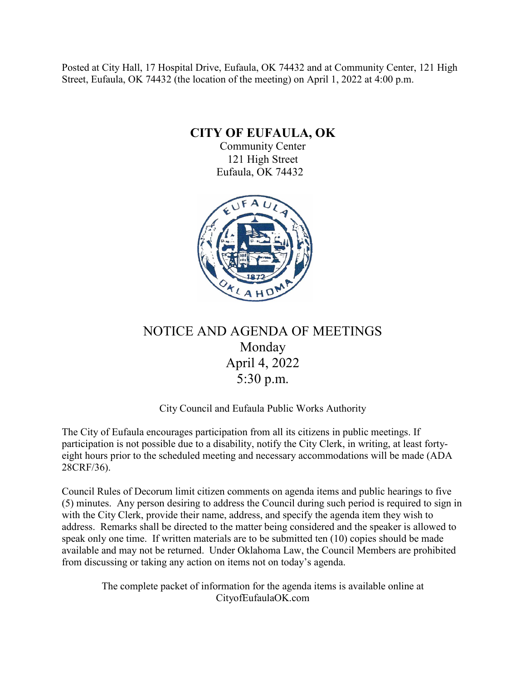Posted at City Hall, 17 Hospital Drive, Eufaula, OK 74432 and at Community Center, 121 High Street, Eufaula, OK 74432 (the location of the meeting) on April 1, 2022 at 4:00 p.m.

**CITY OF EUFAULA, OK**

Community Center 121 High Street Eufaula, OK 74432



# NOTICE AND AGENDA OF MEETINGS Monday April 4, 2022 5:30 p.m.

# City Council and Eufaula Public Works Authority

The City of Eufaula encourages participation from all its citizens in public meetings. If participation is not possible due to a disability, notify the City Clerk, in writing, at least fortyeight hours prior to the scheduled meeting and necessary accommodations will be made (ADA 28CRF/36).

Council Rules of Decorum limit citizen comments on agenda items and public hearings to five (5) minutes. Any person desiring to address the Council during such period is required to sign in with the City Clerk, provide their name, address, and specify the agenda item they wish to address. Remarks shall be directed to the matter being considered and the speaker is allowed to speak only one time. If written materials are to be submitted ten (10) copies should be made available and may not be returned. Under Oklahoma Law, the Council Members are prohibited from discussing or taking any action on items not on today's agenda.

The complete packet of information for the agenda items is available online at CityofEufaulaOK.com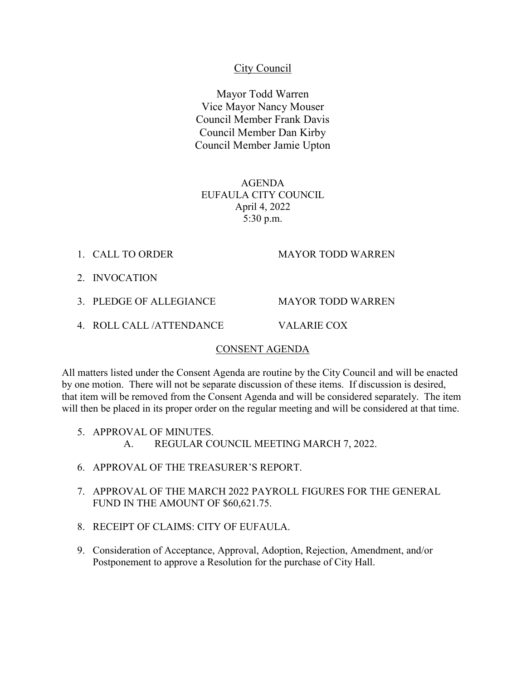## City Council

Mayor Todd Warren Vice Mayor Nancy Mouser Council Member Frank Davis Council Member Dan Kirby Council Member Jamie Upton

AGENDA EUFAULA CITY COUNCIL April 4, 2022 5:30 p.m.

1. CALL TO ORDER MAYOR TODD WARREN

2. INVOCATION

3. PLEDGE OF ALLEGIANCE MAYOR TODD WARREN

4. ROLL CALL /ATTENDANCE VALARIE COX

#### CONSENT AGENDA

All matters listed under the Consent Agenda are routine by the City Council and will be enacted by one motion. There will not be separate discussion of these items. If discussion is desired, that item will be removed from the Consent Agenda and will be considered separately. The item will then be placed in its proper order on the regular meeting and will be considered at that time.

- 5. APPROVAL OF MINUTES. A. REGULAR COUNCIL MEETING MARCH 7, 2022.
- 6. APPROVAL OF THE TREASURER'S REPORT.
- 7. APPROVAL OF THE MARCH 2022 PAYROLL FIGURES FOR THE GENERAL FUND IN THE AMOUNT OF \$60,621.75.
- 8. RECEIPT OF CLAIMS: CITY OF EUFAULA.
- 9. Consideration of Acceptance, Approval, Adoption, Rejection, Amendment, and/or Postponement to approve a Resolution for the purchase of City Hall.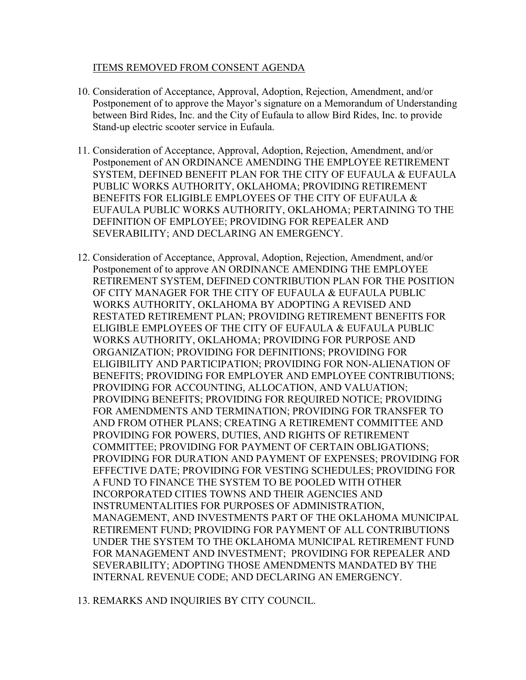## ITEMS REMOVED FROM CONSENT AGENDA

- 10. Consideration of Acceptance, Approval, Adoption, Rejection, Amendment, and/or Postponement of to approve the Mayor's signature on a Memorandum of Understanding between Bird Rides, Inc. and the City of Eufaula to allow Bird Rides, Inc. to provide Stand-up electric scooter service in Eufaula.
- 11. Consideration of Acceptance, Approval, Adoption, Rejection, Amendment, and/or Postponement of AN ORDINANCE AMENDING THE EMPLOYEE RETIREMENT SYSTEM, DEFINED BENEFIT PLAN FOR THE CITY OF EUFAULA & EUFAULA PUBLIC WORKS AUTHORITY, OKLAHOMA; PROVIDING RETIREMENT BENEFITS FOR ELIGIBLE EMPLOYEES OF THE CITY OF EUFAULA & EUFAULA PUBLIC WORKS AUTHORITY, OKLAHOMA; PERTAINING TO THE DEFINITION OF EMPLOYEE; PROVIDING FOR REPEALER AND SEVERABILITY; AND DECLARING AN EMERGENCY.
- 12. Consideration of Acceptance, Approval, Adoption, Rejection, Amendment, and/or Postponement of to approve AN ORDINANCE AMENDING THE EMPLOYEE RETIREMENT SYSTEM, DEFINED CONTRIBUTION PLAN FOR THE POSITION OF CITY MANAGER FOR THE CITY OF EUFAULA & EUFAULA PUBLIC WORKS AUTHORITY, OKLAHOMA BY ADOPTING A REVISED AND RESTATED RETIREMENT PLAN; PROVIDING RETIREMENT BENEFITS FOR ELIGIBLE EMPLOYEES OF THE CITY OF EUFAULA & EUFAULA PUBLIC WORKS AUTHORITY, OKLAHOMA; PROVIDING FOR PURPOSE AND ORGANIZATION; PROVIDING FOR DEFINITIONS; PROVIDING FOR ELIGIBILITY AND PARTICIPATION; PROVIDING FOR NON-ALIENATION OF BENEFITS; PROVIDING FOR EMPLOYER AND EMPLOYEE CONTRIBUTIONS; PROVIDING FOR ACCOUNTING, ALLOCATION, AND VALUATION; PROVIDING BENEFITS; PROVIDING FOR REQUIRED NOTICE; PROVIDING FOR AMENDMENTS AND TERMINATION; PROVIDING FOR TRANSFER TO AND FROM OTHER PLANS; CREATING A RETIREMENT COMMITTEE AND PROVIDING FOR POWERS, DUTIES, AND RIGHTS OF RETIREMENT COMMITTEE; PROVIDING FOR PAYMENT OF CERTAIN OBLIGATIONS; PROVIDING FOR DURATION AND PAYMENT OF EXPENSES; PROVIDING FOR EFFECTIVE DATE; PROVIDING FOR VESTING SCHEDULES; PROVIDING FOR A FUND TO FINANCE THE SYSTEM TO BE POOLED WITH OTHER INCORPORATED CITIES TOWNS AND THEIR AGENCIES AND INSTRUMENTALITIES FOR PURPOSES OF ADMINISTRATION, MANAGEMENT, AND INVESTMENTS PART OF THE OKLAHOMA MUNICIPAL RETIREMENT FUND; PROVIDING FOR PAYMENT OF ALL CONTRIBUTIONS UNDER THE SYSTEM TO THE OKLAHOMA MUNICIPAL RETIREMENT FUND FOR MANAGEMENT AND INVESTMENT; PROVIDING FOR REPEALER AND SEVERABILITY; ADOPTING THOSE AMENDMENTS MANDATED BY THE INTERNAL REVENUE CODE; AND DECLARING AN EMERGENCY.
- 13. REMARKS AND INQUIRIES BY CITY COUNCIL.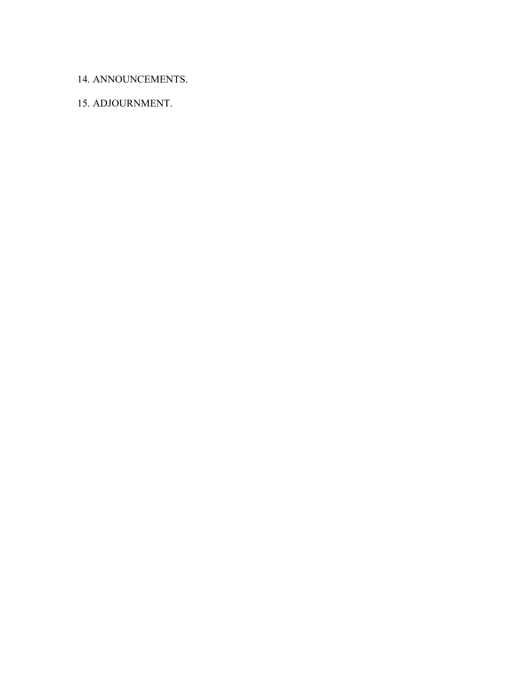## 14. ANNOUNCEMENTS.

# 15. ADJOURNMENT.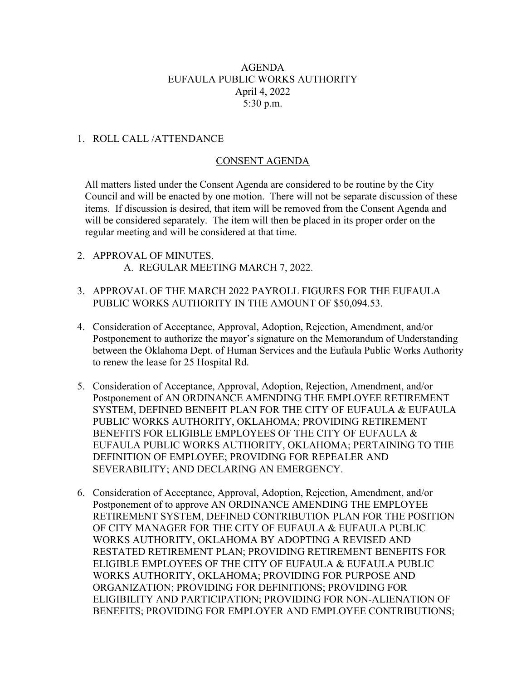## AGENDA EUFAULA PUBLIC WORKS AUTHORITY April 4, 2022 5:30 p.m.

## 1. ROLL CALL /ATTENDANCE

## CONSENT AGENDA

All matters listed under the Consent Agenda are considered to be routine by the City Council and will be enacted by one motion. There will not be separate discussion of these items. If discussion is desired, that item will be removed from the Consent Agenda and will be considered separately. The item will then be placed in its proper order on the regular meeting and will be considered at that time.

- 2. APPROVAL OF MINUTES. A. REGULAR MEETING MARCH 7, 2022.
- 3. APPROVAL OF THE MARCH 2022 PAYROLL FIGURES FOR THE EUFAULA PUBLIC WORKS AUTHORITY IN THE AMOUNT OF \$50,094.53.
- 4. Consideration of Acceptance, Approval, Adoption, Rejection, Amendment, and/or Postponement to authorize the mayor's signature on the Memorandum of Understanding between the Oklahoma Dept. of Human Services and the Eufaula Public Works Authority to renew the lease for 25 Hospital Rd.
- 5. Consideration of Acceptance, Approval, Adoption, Rejection, Amendment, and/or Postponement of AN ORDINANCE AMENDING THE EMPLOYEE RETIREMENT SYSTEM, DEFINED BENEFIT PLAN FOR THE CITY OF EUFAULA & EUFAULA PUBLIC WORKS AUTHORITY, OKLAHOMA; PROVIDING RETIREMENT BENEFITS FOR ELIGIBLE EMPLOYEES OF THE CITY OF EUFAULA & EUFAULA PUBLIC WORKS AUTHORITY, OKLAHOMA; PERTAINING TO THE DEFINITION OF EMPLOYEE; PROVIDING FOR REPEALER AND SEVERABILITY; AND DECLARING AN EMERGENCY.
- 6. Consideration of Acceptance, Approval, Adoption, Rejection, Amendment, and/or Postponement of to approve AN ORDINANCE AMENDING THE EMPLOYEE RETIREMENT SYSTEM, DEFINED CONTRIBUTION PLAN FOR THE POSITION OF CITY MANAGER FOR THE CITY OF EUFAULA & EUFAULA PUBLIC WORKS AUTHORITY, OKLAHOMA BY ADOPTING A REVISED AND RESTATED RETIREMENT PLAN; PROVIDING RETIREMENT BENEFITS FOR ELIGIBLE EMPLOYEES OF THE CITY OF EUFAULA & EUFAULA PUBLIC WORKS AUTHORITY, OKLAHOMA; PROVIDING FOR PURPOSE AND ORGANIZATION; PROVIDING FOR DEFINITIONS; PROVIDING FOR ELIGIBILITY AND PARTICIPATION; PROVIDING FOR NON-ALIENATION OF BENEFITS; PROVIDING FOR EMPLOYER AND EMPLOYEE CONTRIBUTIONS;